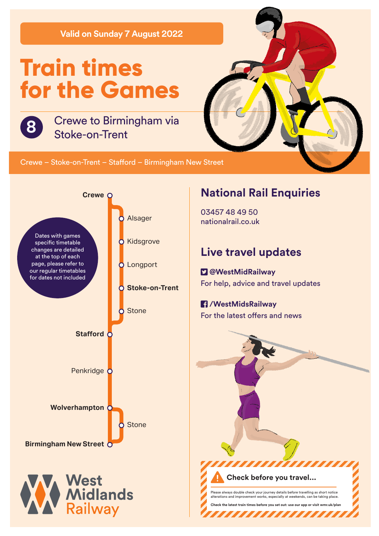